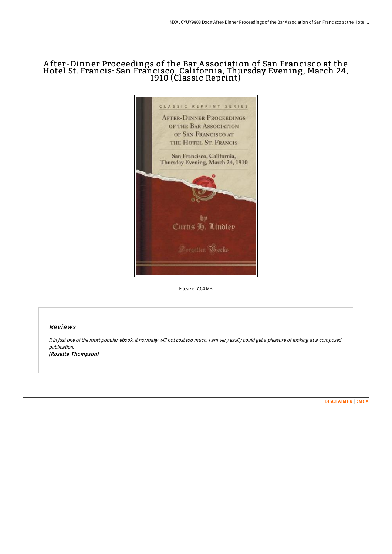# A fter-Dinner Proceedings of the Bar A ssociation of San Francisco at the Hotel St. Francis: San Francisco, California, Thursday Evening, March 24, 1910 (Classic Reprint)



Filesize: 7.04 MB

## Reviews

It in just one of the most popular ebook. It normally will not cost too much. <sup>I</sup> am very easily could get <sup>a</sup> pleasure of looking at <sup>a</sup> composed publication. (Rosetta Thompson)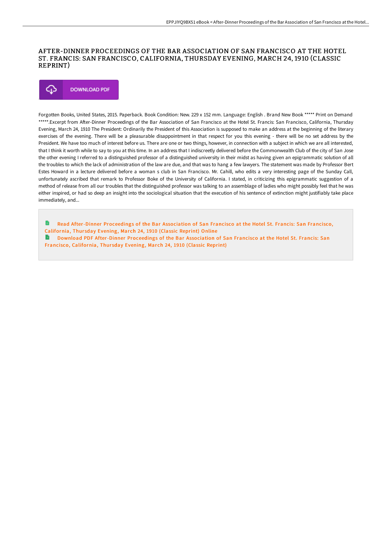### AFTER-DINNER PROCEEDINGS OF THE BAR ASSOCIATION OF SAN FRANCISCO AT THE HOTEL ST. FRANCIS: SAN FRANCISCO, CALIFORNIA, THURSDAY EVENING, MARCH 24, 1910 (CLASSIC REPRINT)



Forgotten Books, United States, 2015. Paperback. Book Condition: New. 229 x 152 mm. Language: English . Brand New Book \*\*\*\*\* Print on Demand \*\*\*\*\*.Excerpt from After-Dinner Proceedings of the Bar Association of San Francisco at the Hotel St. Francis: San Francisco, California, Thursday Evening, March 24, 1910 The President: Ordinarily the President of this Association is supposed to make an address at the beginning of the literary exercises of the evening. There will be a pleasurable disappointment in that respect for you this evening - there will be no set address by the President. We have too much of interest before us. There are one or two things, however, in connection with a subject in which we are all interested, that I think it worth while to say to you at this time. In an address that I indiscreetly delivered before the Commonwealth Club of the city of San Jose the other evening I referred to a distinguished professor of a distinguished university in their midst as having given an epigrammatic solution of all the troubles to which the lack of administration of the law are due, and that was to hang a few lawyers. The statement was made by Professor Bert Estes Howard in a lecture delivered before a woman s club in San Francisco. Mr. Cahill, who edits a very interesting page of the Sunday Call, unfortunately ascribed that remark to Professor Boke of the University of California. I stated, in criticizing this epigrammatic suggestion of a method of release from all our troubles that the distinguished professor was talking to an assemblage of ladies who might possibly feel that he was either inspired, or had so deep an insight into the sociological situation that the execution of his sentence of extinction might justifiably take place immediately, and...

Read [After-Dinner](http://techno-pub.tech/after-dinner-proceedings-of-the-bar-association-.html) Proceedings of the Bar Association of San Francisco at the Hotel St. Francis: San Francisco, California, Thursday Evening, March 24, 1910 (Classic Reprint) Online Download PDF [After-Dinner](http://techno-pub.tech/after-dinner-proceedings-of-the-bar-association-.html) Proceedings of the Bar Association of San Francisco at the Hotel St. Francis: San Francisco, California, Thursday Evening, March 24, 1910 (Classic Reprint)